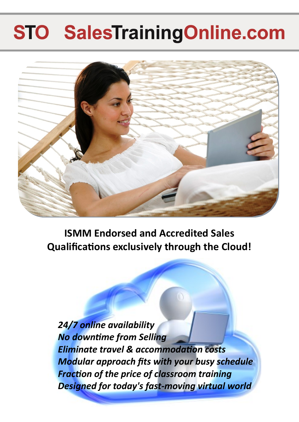## **STO SalesTrainingOnline.com**



**ISMM Endorsed and Accredited Sales Qualifications exclusively through the Cloud!**

*24/7 online availability No downtime from Selling Eliminate travel & accommodation costs Modular approach fits with your busy schedule Fraction of the price of classroom training Designed for today's fast-moving virtual world*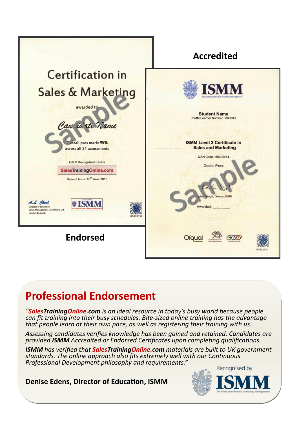

### **Professional Endorsement**

*"SalesTrainingOnline.com is an ideal resource in today's busy world because people can fit training into their busy schedules. Bite-sized online training has the advantage that people learn at their own pace, as well as registering their training with us.* 

*Assessing candidates verifies knowledge has been gained and retained. Candidates are provided ISMM Accredited or Endorsed Certificates upon completing qualifications.*

*ISMM has verified that SalesTrainingOnline.com materials are built to UK government standards. The online approach also fits extremely well with our Continuous Professional Development philosophy and requirements."* 

**Denise Edens, Director of Education, ISMM**

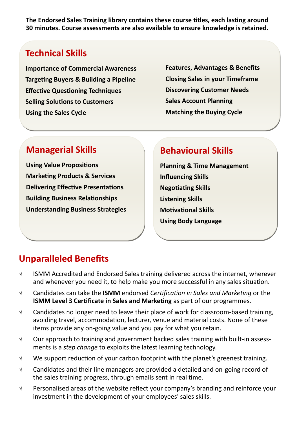**The Endorsed Sales Training library contains these course titles, each lasting around 30 minutes. Course assessments are also available to ensure knowledge is retained.** 

#### **Technical Skills**

**Importance of Commercial Awareness Targeting Buyers & Building a Pipeline Effective Questioning Techniques Selling Solutions to Customers Using the Sales Cycle** 

**Features, Advantages & Benefits Closing Sales in your Timeframe Discovering Customer Needs Sales Account Planning Matching the Buying Cycle** 

#### **Managerial Skills**

**Using Value Propositions Marketing Products & Services Delivering Effective Presentations Building Business Relationships Understanding Business Strategies** 

#### **Behavioural Skills**

**Planning & Time Management Influencing Skills Negotiating Skills Listening Skills Motivational Skills Using Body Language** 

#### **Unparalleled Benefits**

- $\sqrt{ }$  ISMM Accredited and Endorsed Sales training delivered across the internet, wherever and whenever you need it, to help make you more successful in any sales situation.
- Candidates can take the **ISMM** endorsed *Certification in Sales and Marketing* or the **ISMM Level 3 Certificate in Sales and Marketing** as part of our programmes.
- $\sqrt{ }$  Candidates no longer need to leave their place of work for classroom-based training, avoiding travel, accommodation, lecturer, venue and material costs. None of these items provide any on-going value and you pay for what you retain.
- $\sqrt{ }$  Our approach to training and government backed sales training with built-in assessments is a *step change* to exploits the latest learning technology.
- $\sqrt{ }$  We support reduction of your carbon footprint with the planet's greenest training.
- $\sqrt{ }$  Candidates and their line managers are provided a detailed and on-going record of the sales training progress, through emails sent in real time.
- $\sqrt{ }$  Personalised areas of the website reflect your company's branding and reinforce your investment in the development of your employees' sales skills.